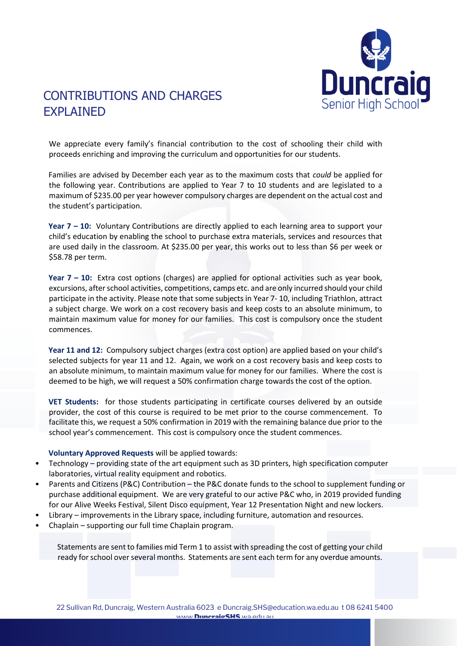

# CONTRIBUTIONS AND CHARGES EXPLAINED

We appreciate every family's financial contribution to the cost of schooling their child with proceeds enriching and improving the curriculum and opportunities for our students.

Families are advised by December each year as to the maximum costs that *could* be applied for the following year. Contributions are applied to Year 7 to 10 students and are legislated to a maximum of \$235.00 per year however compulsory charges are dependent on the actual cost and the student's participation.

**Year 7 – 10:** Voluntary Contributions are directly applied to each learning area to support your child's education by enabling the school to purchase extra materials, services and resources that are used daily in the classroom. At \$235.00 per year, this works out to less than \$6 per week or \$58.78 per term.

**Year 7 – 10:** Extra cost options (charges) are applied for optional activities such as year book, excursions, after school activities, competitions, camps etc. and are only incurred should your child participate in the activity. Please note that some subjects in Year 7- 10, including Triathlon, attract a subject charge. We work on a cost recovery basis and keep costs to an absolute minimum, to maintain maximum value for money for our families. This cost is compulsory once the student commences.

**Year 11 and 12:** Compulsory subject charges (extra cost option) are applied based on your child's selected subjects for year 11 and 12. Again, we work on a cost recovery basis and keep costs to an absolute minimum, to maintain maximum value for money for our families. Where the cost is deemed to be high, we will request a 50% confirmation charge towards the cost of the option.

**VET Students:** for those students participating in certificate courses delivered by an outside provider, the cost of this course is required to be met prior to the course commencement. To facilitate this, we request a 50% confirmation in 2019 with the remaining balance due prior to the school year's commencement. This cost is compulsory once the student commences.

### **Voluntary Approved Requests** will be applied towards:

- Technology providing state of the art equipment such as 3D printers, high specification computer laboratories, virtual reality equipment and robotics.
- Parents and Citizens (P&C) Contribution the P&C donate funds to the school to supplement funding or purchase additional equipment. We are very grateful to our active P&C who, in 2019 provided funding for our Alive Weeks Festival, Silent Disco equipment, Year 12 Presentation Night and new lockers.
- Library improvements in the Library space, including furniture, automation and resources.
- Chaplain supporting our full time Chaplain program.

Statements are sent to families mid Term 1 to assist with spreading the cost of getting your child ready for school over several months. Statements are sent each term for any overdue amounts.